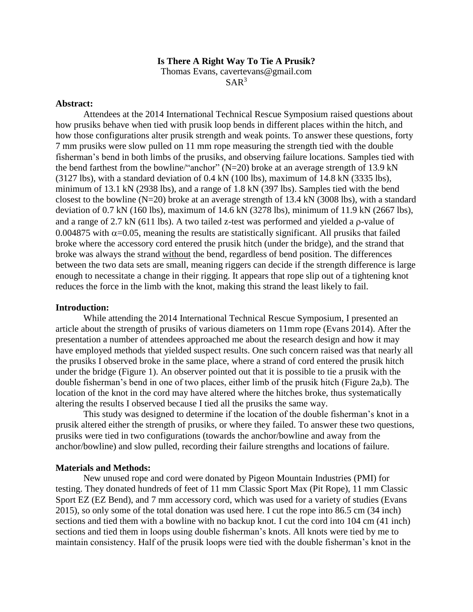#### **Is There A Right Way To Tie A Prusik?**

Thomas Evans, cavertevans@gmail.com

 $SAR<sup>3</sup>$ 

#### **Abstract:**

Attendees at the 2014 International Technical Rescue Symposium raised questions about how prusiks behave when tied with prusik loop bends in different places within the hitch, and how those configurations alter prusik strength and weak points. To answer these questions, forty 7 mm prusiks were slow pulled on 11 mm rope measuring the strength tied with the double fisherman's bend in both limbs of the prusiks, and observing failure locations. Samples tied with the bend farthest from the bowline/"anchor"  $(N=20)$  broke at an average strength of 13.9 kN (3127 lbs), with a standard deviation of 0.4 kN (100 lbs), maximum of 14.8 kN (3335 lbs), minimum of 13.1 kN (2938 lbs), and a range of 1.8 kN (397 lbs). Samples tied with the bend closest to the bowline  $(N=20)$  broke at an average strength of 13.4 kN (3008 lbs), with a standard deviation of 0.7 kN (160 lbs), maximum of 14.6 kN (3278 lbs), minimum of 11.9 kN (2667 lbs), and a range of  $2.7 \text{ kN}$  (611 lbs). A two tailed z-test was performed and yielded a  $\rho$ -value of 0.004875 with  $\alpha$ =0.05, meaning the results are statistically significant. All prusiks that failed broke where the accessory cord entered the prusik hitch (under the bridge), and the strand that broke was always the strand without the bend, regardless of bend position. The differences between the two data sets are small, meaning riggers can decide if the strength difference is large enough to necessitate a change in their rigging. It appears that rope slip out of a tightening knot reduces the force in the limb with the knot, making this strand the least likely to fail.

## **Introduction:**

While attending the 2014 International Technical Rescue Symposium, I presented an article about the strength of prusiks of various diameters on 11mm rope (Evans 2014). After the presentation a number of attendees approached me about the research design and how it may have employed methods that yielded suspect results. One such concern raised was that nearly all the prusiks I observed broke in the same place, where a strand of cord entered the prusik hitch under the bridge (Figure 1). An observer pointed out that it is possible to tie a prusik with the double fisherman's bend in one of two places, either limb of the prusik hitch (Figure 2a,b). The location of the knot in the cord may have altered where the hitches broke, thus systematically altering the results I observed because I tied all the prusiks the same way.

This study was designed to determine if the location of the double fisherman's knot in a prusik altered either the strength of prusiks, or where they failed. To answer these two questions, prusiks were tied in two configurations (towards the anchor/bowline and away from the anchor/bowline) and slow pulled, recording their failure strengths and locations of failure.

## **Materials and Methods:**

New unused rope and cord were donated by Pigeon Mountain Industries (PMI) for testing. They donated hundreds of feet of 11 mm Classic Sport Max (Pit Rope), 11 mm Classic Sport EZ (EZ Bend), and 7 mm accessory cord, which was used for a variety of studies (Evans 2015), so only some of the total donation was used here. I cut the rope into 86.5 cm (34 inch) sections and tied them with a bowline with no backup knot. I cut the cord into 104 cm (41 inch) sections and tied them in loops using double fisherman's knots. All knots were tied by me to maintain consistency. Half of the prusik loops were tied with the double fisherman's knot in the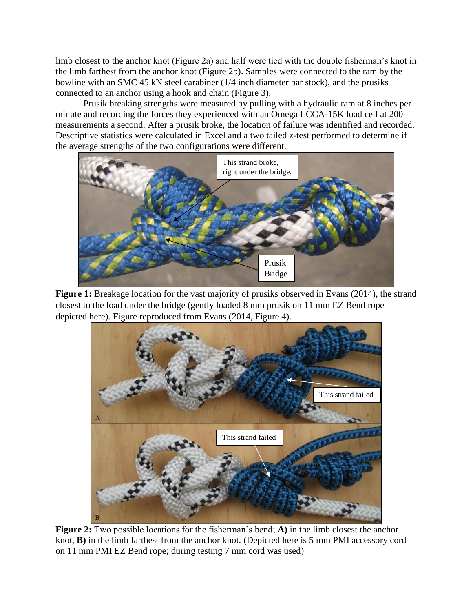limb closest to the anchor knot (Figure 2a) and half were tied with the double fisherman's knot in the limb farthest from the anchor knot (Figure 2b). Samples were connected to the ram by the bowline with an SMC 45 kN steel carabiner (1/4 inch diameter bar stock), and the prusiks connected to an anchor using a hook and chain (Figure 3).

Prusik breaking strengths were measured by pulling with a hydraulic ram at 8 inches per minute and recording the forces they experienced with an Omega LCCA-15K load cell at 200 measurements a second. After a prusik broke, the location of failure was identified and recorded. Descriptive statistics were calculated in Excel and a two tailed z-test performed to determine if the average strengths of the two configurations were different.



Figure 1: Breakage location for the vast majority of prusiks observed in Evans (2014), the strand closest to the load under the bridge (gently loaded 8 mm prusik on 11 mm EZ Bend rope depicted here). Figure reproduced from Evans (2014, Figure 4).



**Figure 2:** Two possible locations for the fisherman's bend; **A)** in the limb closest the anchor knot, **B)** in the limb farthest from the anchor knot. (Depicted here is 5 mm PMI accessory cord on 11 mm PMI EZ Bend rope; during testing 7 mm cord was used)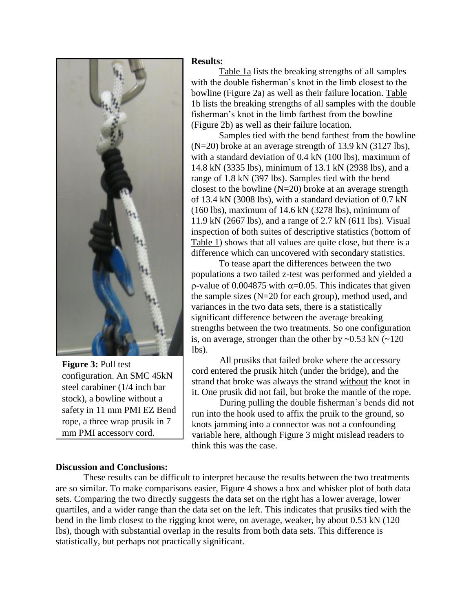

**Figure 3: Pull test** configuration. An SMC 45kN steel carabiner (1/4 inch bar stock), a bowline without a safety in 11 mm PMI EZ Bend rope, a three wrap prusik in 7 mm PMI accessory cord.

# **Results:**

Table 1a lists the breaking strengths of all samples with the double fisherman's knot in the limb closest to the bowline (Figure 2a) as well as their failure location. Table 1b lists the breaking strengths of all samples with the double fisherman's knot in the limb farthest from the bowline (Figure 2b) as well as their failure location.

Samples tied with the bend farthest from the bowline (N=20) broke at an average strength of 13.9 kN (3127 lbs), with a standard deviation of 0.4 kN (100 lbs), maximum of 14.8 kN (3335 lbs), minimum of 13.1 kN (2938 lbs), and a range of 1.8 kN (397 lbs). Samples tied with the bend closest to the bowline  $(N=20)$  broke at an average strength of 13.4 kN (3008 lbs), with a standard deviation of 0.7 kN (160 lbs), maximum of 14.6 kN (3278 lbs), minimum of 11.9 kN (2667 lbs), and a range of 2.7 kN (611 lbs). Visual inspection of both suites of descriptive statistics (bottom of Table 1) shows that all values are quite close, but there is a difference which can uncovered with secondary statistics.

To tease apart the differences between the two populations a two tailed z-test was performed and yielded a  $\rho$ -value of 0.004875 with  $\alpha$ =0.05. This indicates that given the sample sizes (N=20 for each group), method used, and variances in the two data sets, there is a statistically significant difference between the average breaking strengths between the two treatments. So one configuration is, on average, stronger than the other by  $\sim 0.53$  kN ( $\sim 120$ ) lbs).

All prusiks that failed broke where the accessory cord entered the prusik hitch (under the bridge), and the strand that broke was always the strand without the knot in it. One prusik did not fail, but broke the mantle of the rope.

During pulling the double fisherman's bends did not run into the hook used to affix the pruik to the ground, so knots jamming into a connector was not a confounding variable here, although Figure 3 might mislead readers to think this was the case.

## **Discussion and Conclusions:**

These results can be difficult to interpret because the results between the two treatments are so similar. To make comparisons easier, Figure 4 shows a box and whisker plot of both data sets. Comparing the two directly suggests the data set on the right has a lower average, lower quartiles, and a wider range than the data set on the left. This indicates that prusiks tied with the bend in the limb closest to the rigging knot were, on average, weaker, by about 0.53 kN (120 lbs), though with substantial overlap in the results from both data sets. This difference is statistically, but perhaps not practically significant.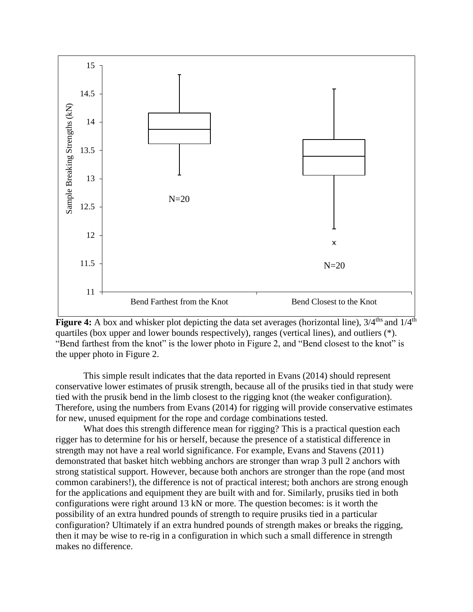



This simple result indicates that the data reported in Evans (2014) should represent conservative lower estimates of prusik strength, because all of the prusiks tied in that study were tied with the prusik bend in the limb closest to the rigging knot (the weaker configuration). Therefore, using the numbers from Evans (2014) for rigging will provide conservative estimates for new, unused equipment for the rope and cordage combinations tested.

What does this strength difference mean for rigging? This is a practical question each rigger has to determine for his or herself, because the presence of a statistical difference in strength may not have a real world significance. For example, Evans and Stavens (2011) demonstrated that basket hitch webbing anchors are stronger than wrap 3 pull 2 anchors with strong statistical support. However, because both anchors are stronger than the rope (and most common carabiners!), the difference is not of practical interest; both anchors are strong enough for the applications and equipment they are built with and for. Similarly, prusiks tied in both configurations were right around 13 kN or more. The question becomes: is it worth the possibility of an extra hundred pounds of strength to require prusiks tied in a particular configuration? Ultimately if an extra hundred pounds of strength makes or breaks the rigging, then it may be wise to re-rig in a configuration in which such a small difference in strength makes no difference.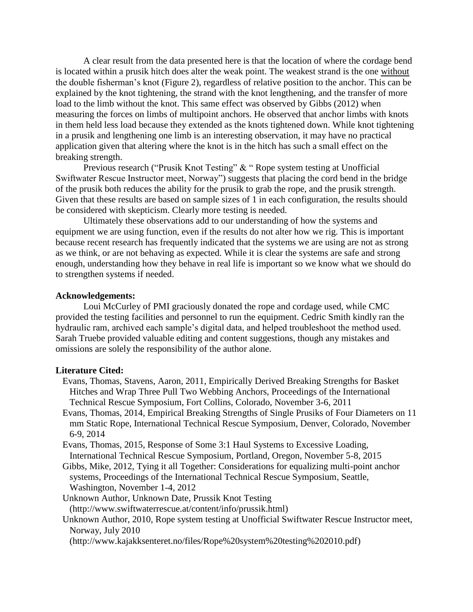A clear result from the data presented here is that the location of where the cordage bend is located within a prusik hitch does alter the weak point. The weakest strand is the one without the double fisherman's knot (Figure 2), regardless of relative position to the anchor. This can be explained by the knot tightening, the strand with the knot lengthening, and the transfer of more load to the limb without the knot. This same effect was observed by Gibbs (2012) when measuring the forces on limbs of multipoint anchors. He observed that anchor limbs with knots in them held less load because they extended as the knots tightened down. While knot tightening in a prusik and lengthening one limb is an interesting observation, it may have no practical application given that altering where the knot is in the hitch has such a small effect on the breaking strength.

Previous research ("Prusik Knot Testing" & " Rope system testing at Unofficial Swiftwater Rescue Instructor meet, Norway") suggests that placing the cord bend in the bridge of the prusik both reduces the ability for the prusik to grab the rope, and the prusik strength. Given that these results are based on sample sizes of 1 in each configuration, the results should be considered with skepticism. Clearly more testing is needed.

Ultimately these observations add to our understanding of how the systems and equipment we are using function, even if the results do not alter how we rig. This is important because recent research has frequently indicated that the systems we are using are not as strong as we think, or are not behaving as expected. While it is clear the systems are safe and strong enough, understanding how they behave in real life is important so we know what we should do to strengthen systems if needed.

### **Acknowledgements:**

Loui McCurley of PMI graciously donated the rope and cordage used, while CMC provided the testing facilities and personnel to run the equipment. Cedric Smith kindly ran the hydraulic ram, archived each sample's digital data, and helped troubleshoot the method used. Sarah Truebe provided valuable editing and content suggestions, though any mistakes and omissions are solely the responsibility of the author alone.

### **Literature Cited:**

- Evans, Thomas, Stavens, Aaron, 2011, Empirically Derived Breaking Strengths for Basket Hitches and Wrap Three Pull Two Webbing Anchors, Proceedings of the International Technical Rescue Symposium, Fort Collins, Colorado, November 3-6, 2011
- Evans, Thomas, 2014, Empirical Breaking Strengths of Single Prusiks of Four Diameters on 11 mm Static Rope, International Technical Rescue Symposium, Denver, Colorado, November 6-9, 2014
- Evans, Thomas, 2015, Response of Some 3:1 Haul Systems to Excessive Loading, International Technical Rescue Symposium, Portland, Oregon, November 5-8, 2015
- Gibbs, Mike, 2012, Tying it all Together: Considerations for equalizing multi-point anchor systems, Proceedings of the International Technical Rescue Symposium, Seattle, Washington, November 1-4, 2012

Unknown Author, Unknown Date, Prussik Knot Testing (http://www.swiftwaterrescue.at/content/info/prussik.html)

Unknown Author, 2010, Rope system testing at Unofficial Swiftwater Rescue Instructor meet, Norway, July 2010

(http://www.kajakksenteret.no/files/Rope%20system%20testing%202010.pdf)